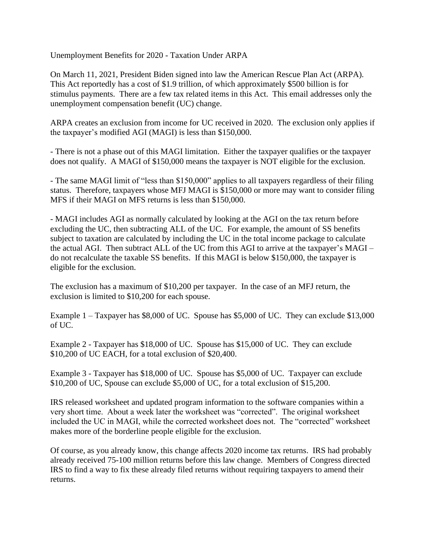Unemployment Benefits for 2020 - Taxation Under ARPA

On March 11, 2021, President Biden signed into law the American Rescue Plan Act (ARPA). This Act reportedly has a cost of \$1.9 trillion, of which approximately \$500 billion is for stimulus payments. There are a few tax related items in this Act. This email addresses only the unemployment compensation benefit (UC) change.

ARPA creates an exclusion from income for UC received in 2020. The exclusion only applies if the taxpayer's modified AGI (MAGI) is less than \$150,000.

- There is not a phase out of this MAGI limitation. Either the taxpayer qualifies or the taxpayer does not qualify. A MAGI of \$150,000 means the taxpayer is NOT eligible for the exclusion.

- The same MAGI limit of "less than \$150,000" applies to all taxpayers regardless of their filing status. Therefore, taxpayers whose MFJ MAGI is \$150,000 or more may want to consider filing MFS if their MAGI on MFS returns is less than \$150,000.

- MAGI includes AGI as normally calculated by looking at the AGI on the tax return before excluding the UC, then subtracting ALL of the UC. For example, the amount of SS benefits subject to taxation are calculated by including the UC in the total income package to calculate the actual AGI. Then subtract ALL of the UC from this AGI to arrive at the taxpayer's MAGI – do not recalculate the taxable SS benefits. If this MAGI is below \$150,000, the taxpayer is eligible for the exclusion.

The exclusion has a maximum of \$10,200 per taxpayer. In the case of an MFJ return, the exclusion is limited to \$10,200 for each spouse.

Example 1 – Taxpayer has \$8,000 of UC. Spouse has \$5,000 of UC. They can exclude \$13,000 of UC.

Example 2 - Taxpayer has \$18,000 of UC. Spouse has \$15,000 of UC. They can exclude \$10,200 of UC EACH, for a total exclusion of \$20,400.

Example 3 - Taxpayer has \$18,000 of UC. Spouse has \$5,000 of UC. Taxpayer can exclude \$10,200 of UC, Spouse can exclude \$5,000 of UC, for a total exclusion of \$15,200.

IRS released worksheet and updated program information to the software companies within a very short time. About a week later the worksheet was "corrected". The original worksheet included the UC in MAGI, while the corrected worksheet does not. The "corrected" worksheet makes more of the borderline people eligible for the exclusion.

Of course, as you already know, this change affects 2020 income tax returns. IRS had probably already received 75-100 million returns before this law change. Members of Congress directed IRS to find a way to fix these already filed returns without requiring taxpayers to amend their returns.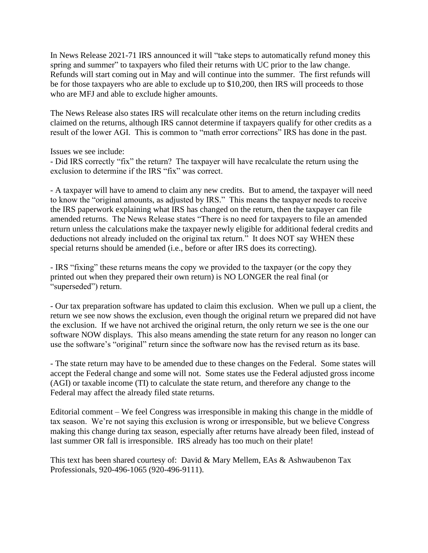In News Release 2021-71 IRS announced it will "take steps to automatically refund money this spring and summer" to taxpayers who filed their returns with UC prior to the law change. Refunds will start coming out in May and will continue into the summer. The first refunds will be for those taxpayers who are able to exclude up to \$10,200, then IRS will proceeds to those who are MFJ and able to exclude higher amounts.

The News Release also states IRS will recalculate other items on the return including credits claimed on the returns, although IRS cannot determine if taxpayers qualify for other credits as a result of the lower AGI. This is common to "math error corrections" IRS has done in the past.

Issues we see include:

- Did IRS correctly "fix" the return? The taxpayer will have recalculate the return using the exclusion to determine if the IRS "fix" was correct.

- A taxpayer will have to amend to claim any new credits. But to amend, the taxpayer will need to know the "original amounts, as adjusted by IRS." This means the taxpayer needs to receive the IRS paperwork explaining what IRS has changed on the return, then the taxpayer can file amended returns. The News Release states "There is no need for taxpayers to file an amended return unless the calculations make the taxpayer newly eligible for additional federal credits and deductions not already included on the original tax return." It does NOT say WHEN these special returns should be amended (i.e., before or after IRS does its correcting).

- IRS "fixing" these returns means the copy we provided to the taxpayer (or the copy they printed out when they prepared their own return) is NO LONGER the real final (or "superseded") return.

- Our tax preparation software has updated to claim this exclusion. When we pull up a client, the return we see now shows the exclusion, even though the original return we prepared did not have the exclusion. If we have not archived the original return, the only return we see is the one our software NOW displays. This also means amending the state return for any reason no longer can use the software's "original" return since the software now has the revised return as its base.

- The state return may have to be amended due to these changes on the Federal. Some states will accept the Federal change and some will not. Some states use the Federal adjusted gross income (AGI) or taxable income (TI) to calculate the state return, and therefore any change to the Federal may affect the already filed state returns.

Editorial comment – We feel Congress was irresponsible in making this change in the middle of tax season. We're not saying this exclusion is wrong or irresponsible, but we believe Congress making this change during tax season, especially after returns have already been filed, instead of last summer OR fall is irresponsible. IRS already has too much on their plate!

This text has been shared courtesy of: David & Mary Mellem, EAs & Ashwaubenon Tax Professionals, 920-496-1065 (920-496-9111).